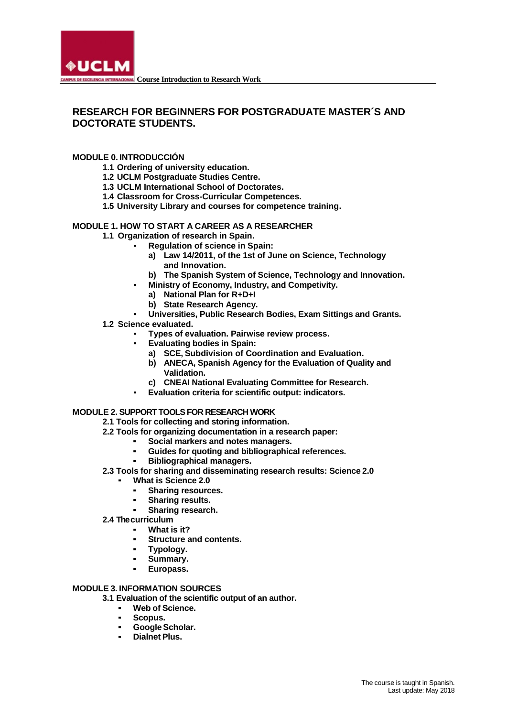

# **RESEARCH FOR BEGINNERS FOR POSTGRADUATE MASTER´S AND DOCTORATE STUDENTS.**

# **MODULE 0. INTRODUCCIÓN**

- **1.1 Ordering of university education.**
- **1.2 UCLM Postgraduate Studies Centre.**
- **1.3 UCLM International School of Doctorates.**
- **1.4 Classroom for Cross-Curricular Competences.**
- **1.5 University Library and courses for competence training.**

## **MODULE 1. HOW TO START A CAREER AS A RESEARCHER**

- **1.1 Organization of research in Spain.**
	- **Regulation of science in Spain:** 
		- **a) Law 14/2011, of the 1st of June on Science, Technology and Innovation.**
		- **b) The Spanish System of Science, Technology and Innovation.**
	- **Ministry of Economy, Industry, and Competivity.** 
		- **a) National Plan for R+D+I**
		- **b) State Research Agency.**
	- **Universities, Public Research Bodies, Exam Sittings and Grants.**
- **1.2 Science evaluated.**
	- **Types of evaluation. Pairwise review process.**
	- **Evaluating bodies in Spain:** 
		- **a) SCE, Subdivision of Coordination and Evaluation.**
		- **b) ANECA, Spanish Agency for the Evaluation of Quality and Validation.**
		- **c) CNEAI National Evaluating Committee for Research.**
		- **Evaluation criteria for scientific output: indicators.**

#### **MODULE 2. SUPPORT TOOLS FOR RESEARCH WORK**

- **2.1 Tools for collecting and storing information.**
- **2.2 Tools for organizing documentation in a research paper:**
	- **Social markers and notes managers.**
		- **Guides for quoting and bibliographical references.**
		- **Bibliographical managers.**

## **2.3 Tools for sharing and disseminating research results: Science 2.0**

- **What is Science 2.0** 
	- **Sharing resources.**
	- **Sharing results.**
	- Sharing research.
- **2.4 Thecurriculum**
	- What is it?
	- **Structure and contents.**
	- **Typology.**
	- Summary.
	- Europass.

#### **MODULE 3. INFORMATION SOURCES**

- **3.1 Evaluation of the scientific output of an author.**
	- **Web of Science.**
	- Scopus.
	- **GoogleScholar.**
	- **Dialnet Plus.**